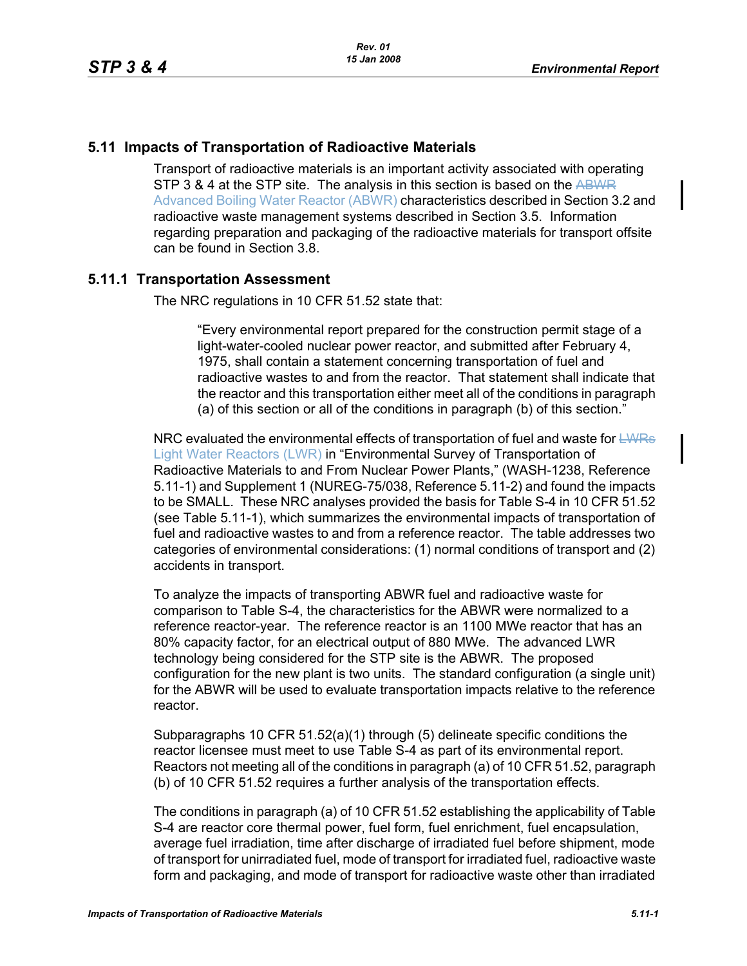#### **5.11 Impacts of Transportation of Radioactive Materials**

Transport of radioactive materials is an important activity associated with operating STP 3 & 4 at the STP site. The analysis in this section is based on the ABWR Advanced Boiling Water Reactor (ABWR) characteristics described in Section 3.2 and radioactive waste management systems described in Section 3.5. Information regarding preparation and packaging of the radioactive materials for transport offsite can be found in Section 3.8.

#### **5.11.1 Transportation Assessment**

The NRC regulations in 10 CFR 51.52 state that:

"Every environmental report prepared for the construction permit stage of a light-water-cooled nuclear power reactor, and submitted after February 4, 1975, shall contain a statement concerning transportation of fuel and radioactive wastes to and from the reactor. That statement shall indicate that the reactor and this transportation either meet all of the conditions in paragraph (a) of this section or all of the conditions in paragraph (b) of this section."

NRC evaluated the environmental effects of transportation of fuel and waste for  $E_{\text{WRS}}$ Light Water Reactors (LWR) in "Environmental Survey of Transportation of Radioactive Materials to and From Nuclear Power Plants," (WASH-1238, Reference 5.11-1) and Supplement 1 (NUREG-75/038, Reference 5.11-2) and found the impacts to be SMALL. These NRC analyses provided the basis for Table S-4 in 10 CFR 51.52 (see Table 5.11-1), which summarizes the environmental impacts of transportation of fuel and radioactive wastes to and from a reference reactor. The table addresses two categories of environmental considerations: (1) normal conditions of transport and (2) accidents in transport.

To analyze the impacts of transporting ABWR fuel and radioactive waste for comparison to Table S-4, the characteristics for the ABWR were normalized to a reference reactor-year. The reference reactor is an 1100 MWe reactor that has an 80% capacity factor, for an electrical output of 880 MWe. The advanced LWR technology being considered for the STP site is the ABWR. The proposed configuration for the new plant is two units. The standard configuration (a single unit) for the ABWR will be used to evaluate transportation impacts relative to the reference reactor.

Subparagraphs 10 CFR 51.52(a)(1) through (5) delineate specific conditions the reactor licensee must meet to use Table S-4 as part of its environmental report. Reactors not meeting all of the conditions in paragraph (a) of 10 CFR 51.52, paragraph (b) of 10 CFR 51.52 requires a further analysis of the transportation effects.

The conditions in paragraph (a) of 10 CFR 51.52 establishing the applicability of Table S-4 are reactor core thermal power, fuel form, fuel enrichment, fuel encapsulation, average fuel irradiation, time after discharge of irradiated fuel before shipment, mode of transport for unirradiated fuel, mode of transport for irradiated fuel, radioactive waste form and packaging, and mode of transport for radioactive waste other than irradiated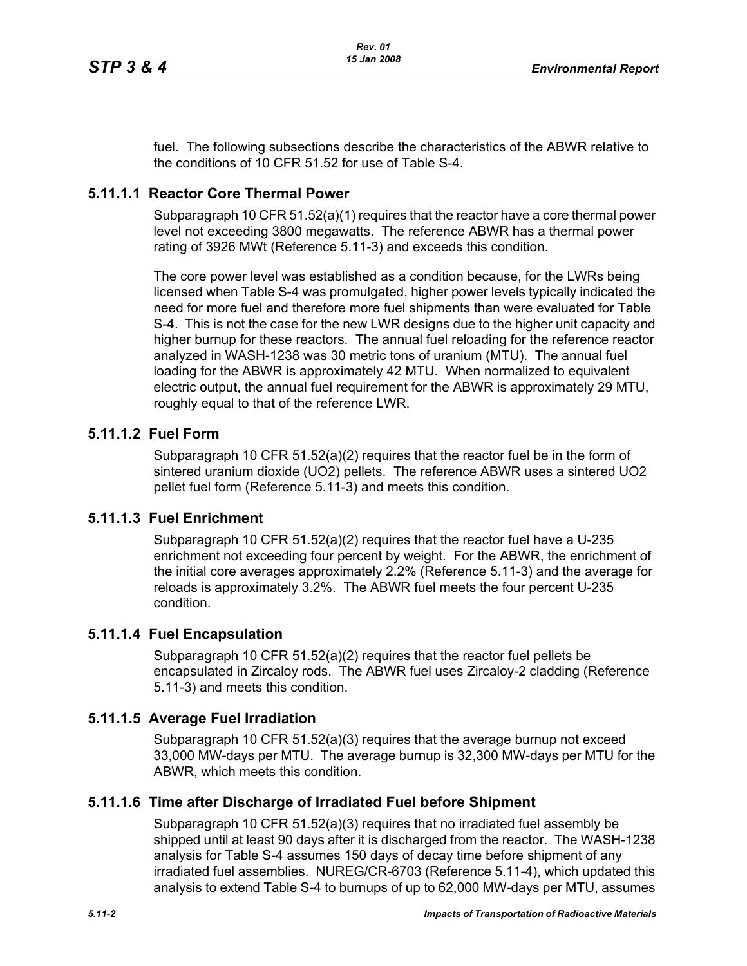fuel. The following subsections describe the characteristics of the ABWR relative to the conditions of 10 CFR 51.52 for use of Table S-4.

# **5.11.1.1 Reactor Core Thermal Power**

Subparagraph 10 CFR 51.52(a)(1) requires that the reactor have a core thermal power level not exceeding 3800 megawatts. The reference ABWR has a thermal power rating of 3926 MWt (Reference 5.11-3) and exceeds this condition.

The core power level was established as a condition because, for the LWRs being licensed when Table S-4 was promulgated, higher power levels typically indicated the need for more fuel and therefore more fuel shipments than were evaluated for Table S-4. This is not the case for the new LWR designs due to the higher unit capacity and higher burnup for these reactors. The annual fuel reloading for the reference reactor analyzed in WASH-1238 was 30 metric tons of uranium (MTU). The annual fuel loading for the ABWR is approximately 42 MTU. When normalized to equivalent electric output, the annual fuel requirement for the ABWR is approximately 29 MTU, roughly equal to that of the reference LWR.

## **5.11.1.2 Fuel Form**

Subparagraph 10 CFR 51.52(a)(2) requires that the reactor fuel be in the form of sintered uranium dioxide (UO2) pellets. The reference ABWR uses a sintered UO2 pellet fuel form (Reference 5.11-3) and meets this condition.

## **5.11.1.3 Fuel Enrichment**

Subparagraph 10 CFR 51.52(a)(2) requires that the reactor fuel have a U-235 enrichment not exceeding four percent by weight. For the ABWR, the enrichment of the initial core averages approximately 2.2% (Reference 5.11-3) and the average for reloads is approximately 3.2%. The ABWR fuel meets the four percent U-235 condition.

## **5.11.1.4 Fuel Encapsulation**

Subparagraph 10 CFR 51.52(a)(2) requires that the reactor fuel pellets be encapsulated in Zircaloy rods. The ABWR fuel uses Zircaloy-2 cladding (Reference 5.11-3) and meets this condition.

## **5.11.1.5 Average Fuel Irradiation**

Subparagraph 10 CFR  $51.52(a)(3)$  requires that the average burnup not exceed 33,000 MW-days per MTU. The average burnup is 32,300 MW-days per MTU for the ABWR, which meets this condition.

## **5.11.1.6 Time after Discharge of Irradiated Fuel before Shipment**

Subparagraph 10 CFR 51.52(a)(3) requires that no irradiated fuel assembly be shipped until at least 90 days after it is discharged from the reactor. The WASH-1238 analysis for Table S-4 assumes 150 days of decay time before shipment of any irradiated fuel assemblies. NUREG/CR-6703 (Reference 5.11-4), which updated this analysis to extend Table S-4 to burnups of up to 62,000 MW-days per MTU, assumes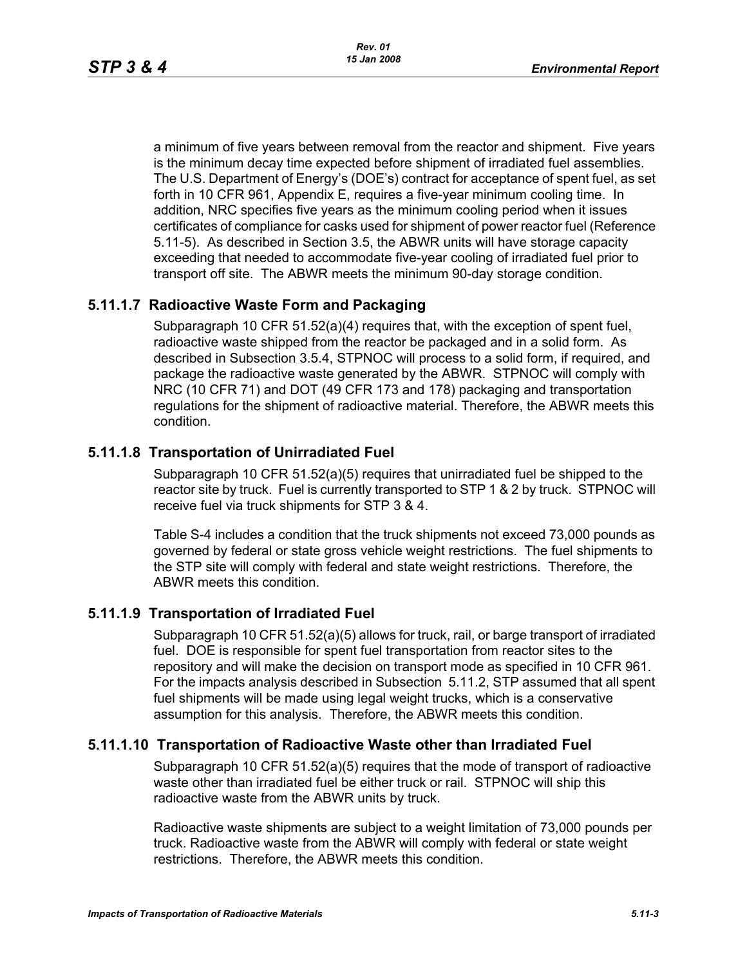a minimum of five years between removal from the reactor and shipment. Five years is the minimum decay time expected before shipment of irradiated fuel assemblies. The U.S. Department of Energy's (DOE's) contract for acceptance of spent fuel, as set forth in 10 CFR 961, Appendix E, requires a five-year minimum cooling time. In addition, NRC specifies five years as the minimum cooling period when it issues certificates of compliance for casks used for shipment of power reactor fuel (Reference 5.11-5). As described in Section 3.5, the ABWR units will have storage capacity exceeding that needed to accommodate five-year cooling of irradiated fuel prior to transport off site. The ABWR meets the minimum 90-day storage condition.

# **5.11.1.7 Radioactive Waste Form and Packaging**

Subparagraph 10 CFR 51.52(a)(4) requires that, with the exception of spent fuel, radioactive waste shipped from the reactor be packaged and in a solid form. As described in Subsection 3.5.4, STPNOC will process to a solid form, if required, and package the radioactive waste generated by the ABWR. STPNOC will comply with NRC (10 CFR 71) and DOT (49 CFR 173 and 178) packaging and transportation regulations for the shipment of radioactive material. Therefore, the ABWR meets this condition.

# **5.11.1.8 Transportation of Unirradiated Fuel**

Subparagraph 10 CFR 51.52(a)(5) requires that unirradiated fuel be shipped to the reactor site by truck. Fuel is currently transported to STP 1 & 2 by truck. STPNOC will receive fuel via truck shipments for STP 3 & 4.

Table S-4 includes a condition that the truck shipments not exceed 73,000 pounds as governed by federal or state gross vehicle weight restrictions. The fuel shipments to the STP site will comply with federal and state weight restrictions. Therefore, the ABWR meets this condition.

# **5.11.1.9 Transportation of Irradiated Fuel**

Subparagraph 10 CFR 51.52(a)(5) allows for truck, rail, or barge transport of irradiated fuel. DOE is responsible for spent fuel transportation from reactor sites to the repository and will make the decision on transport mode as specified in 10 CFR 961. For the impacts analysis described in Subsection 5.11.2, STP assumed that all spent fuel shipments will be made using legal weight trucks, which is a conservative assumption for this analysis. Therefore, the ABWR meets this condition.

## **5.11.1.10 Transportation of Radioactive Waste other than Irradiated Fuel**

Subparagraph 10 CFR 51.52(a)(5) requires that the mode of transport of radioactive waste other than irradiated fuel be either truck or rail. STPNOC will ship this radioactive waste from the ABWR units by truck.

Radioactive waste shipments are subject to a weight limitation of 73,000 pounds per truck. Radioactive waste from the ABWR will comply with federal or state weight restrictions. Therefore, the ABWR meets this condition.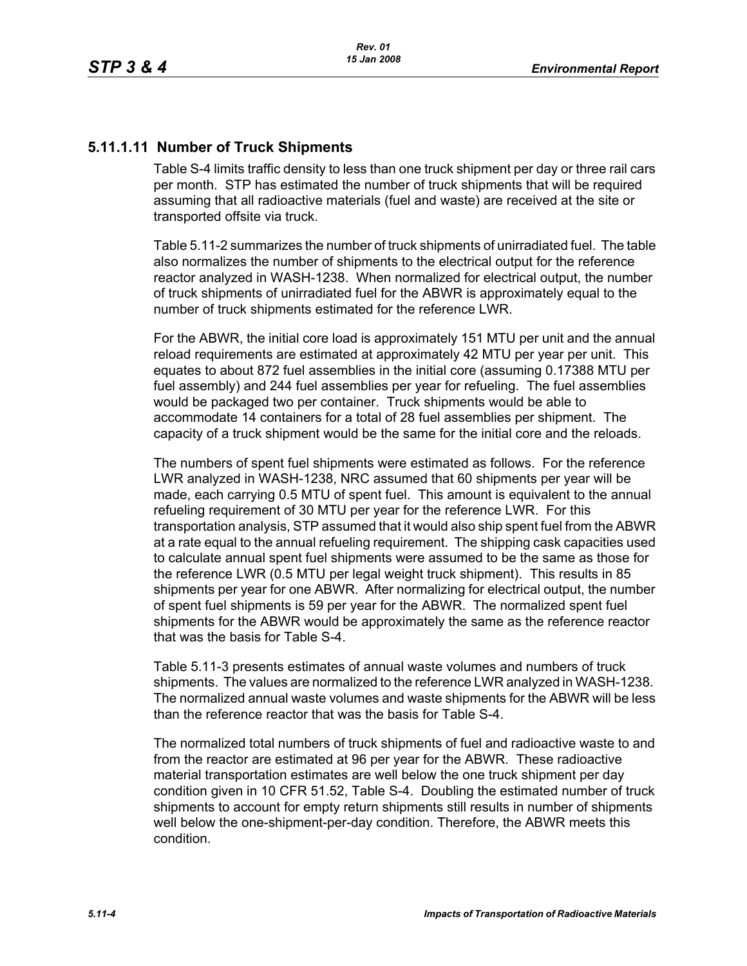## **5.11.1.11 Number of Truck Shipments**

Table S-4 limits traffic density to less than one truck shipment per day or three rail cars per month. STP has estimated the number of truck shipments that will be required assuming that all radioactive materials (fuel and waste) are received at the site or transported offsite via truck.

Table 5.11-2 summarizes the number of truck shipments of unirradiated fuel. The table also normalizes the number of shipments to the electrical output for the reference reactor analyzed in WASH-1238. When normalized for electrical output, the number of truck shipments of unirradiated fuel for the ABWR is approximately equal to the number of truck shipments estimated for the reference LWR.

For the ABWR, the initial core load is approximately 151 MTU per unit and the annual reload requirements are estimated at approximately 42 MTU per year per unit. This equates to about 872 fuel assemblies in the initial core (assuming 0.17388 MTU per fuel assembly) and 244 fuel assemblies per year for refueling. The fuel assemblies would be packaged two per container. Truck shipments would be able to accommodate 14 containers for a total of 28 fuel assemblies per shipment. The capacity of a truck shipment would be the same for the initial core and the reloads.

The numbers of spent fuel shipments were estimated as follows. For the reference LWR analyzed in WASH-1238, NRC assumed that 60 shipments per year will be made, each carrying 0.5 MTU of spent fuel. This amount is equivalent to the annual refueling requirement of 30 MTU per year for the reference LWR. For this transportation analysis, STP assumed that it would also ship spent fuel from the ABWR at a rate equal to the annual refueling requirement. The shipping cask capacities used to calculate annual spent fuel shipments were assumed to be the same as those for the reference LWR (0.5 MTU per legal weight truck shipment). This results in 85 shipments per year for one ABWR. After normalizing for electrical output, the number of spent fuel shipments is 59 per year for the ABWR. The normalized spent fuel shipments for the ABWR would be approximately the same as the reference reactor that was the basis for Table S-4.

Table 5.11-3 presents estimates of annual waste volumes and numbers of truck shipments. The values are normalized to the reference LWR analyzed in WASH-1238. The normalized annual waste volumes and waste shipments for the ABWR will be less than the reference reactor that was the basis for Table S-4.

The normalized total numbers of truck shipments of fuel and radioactive waste to and from the reactor are estimated at 96 per year for the ABWR. These radioactive material transportation estimates are well below the one truck shipment per day condition given in 10 CFR 51.52, Table S-4. Doubling the estimated number of truck shipments to account for empty return shipments still results in number of shipments well below the one-shipment-per-day condition. Therefore, the ABWR meets this condition.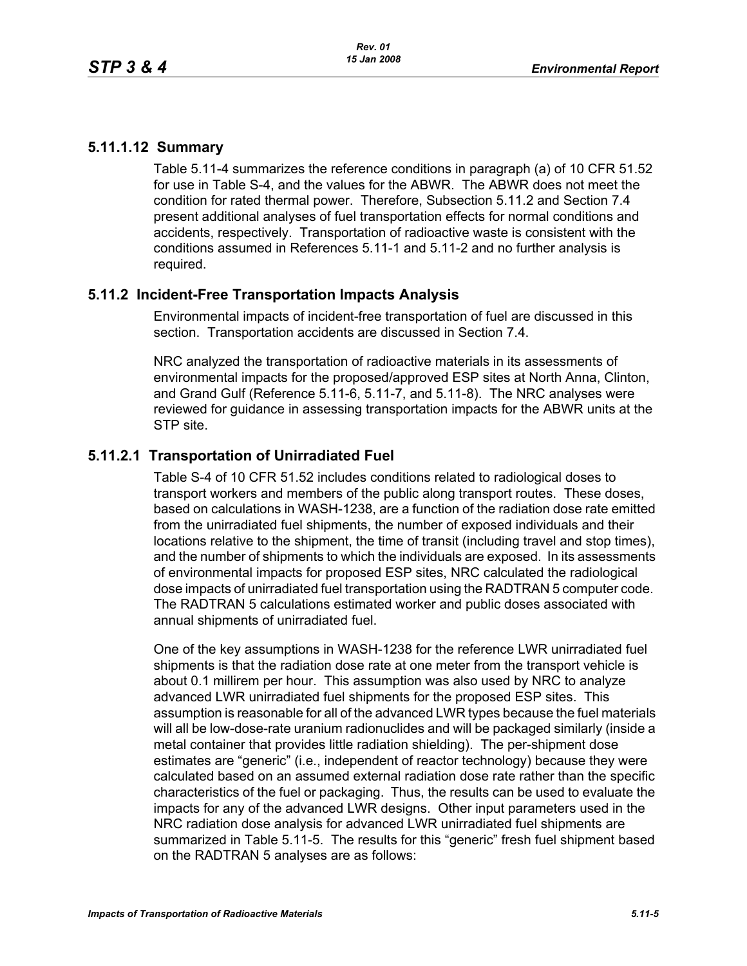## **5.11.1.12 Summary**

Table 5.11-4 summarizes the reference conditions in paragraph (a) of 10 CFR 51.52 for use in Table S-4, and the values for the ABWR. The ABWR does not meet the condition for rated thermal power. Therefore, Subsection 5.11.2 and Section 7.4 present additional analyses of fuel transportation effects for normal conditions and accidents, respectively. Transportation of radioactive waste is consistent with the conditions assumed in References 5.11-1 and 5.11-2 and no further analysis is required.

## **5.11.2 Incident-Free Transportation Impacts Analysis**

Environmental impacts of incident-free transportation of fuel are discussed in this section. Transportation accidents are discussed in Section 7.4.

NRC analyzed the transportation of radioactive materials in its assessments of environmental impacts for the proposed/approved ESP sites at North Anna, Clinton, and Grand Gulf (Reference 5.11-6, 5.11-7, and 5.11-8). The NRC analyses were reviewed for guidance in assessing transportation impacts for the ABWR units at the STP site.

# **5.11.2.1 Transportation of Unirradiated Fuel**

Table S-4 of 10 CFR 51.52 includes conditions related to radiological doses to transport workers and members of the public along transport routes. These doses, based on calculations in WASH-1238, are a function of the radiation dose rate emitted from the unirradiated fuel shipments, the number of exposed individuals and their locations relative to the shipment, the time of transit (including travel and stop times), and the number of shipments to which the individuals are exposed. In its assessments of environmental impacts for proposed ESP sites, NRC calculated the radiological dose impacts of unirradiated fuel transportation using the RADTRAN 5 computer code. The RADTRAN 5 calculations estimated worker and public doses associated with annual shipments of unirradiated fuel.

One of the key assumptions in WASH-1238 for the reference LWR unirradiated fuel shipments is that the radiation dose rate at one meter from the transport vehicle is about 0.1 millirem per hour. This assumption was also used by NRC to analyze advanced LWR unirradiated fuel shipments for the proposed ESP sites. This assumption is reasonable for all of the advanced LWR types because the fuel materials will all be low-dose-rate uranium radionuclides and will be packaged similarly (inside a metal container that provides little radiation shielding). The per-shipment dose estimates are "generic" (i.e., independent of reactor technology) because they were calculated based on an assumed external radiation dose rate rather than the specific characteristics of the fuel or packaging. Thus, the results can be used to evaluate the impacts for any of the advanced LWR designs. Other input parameters used in the NRC radiation dose analysis for advanced LWR unirradiated fuel shipments are summarized in Table 5.11-5. The results for this "generic" fresh fuel shipment based on the RADTRAN 5 analyses are as follows: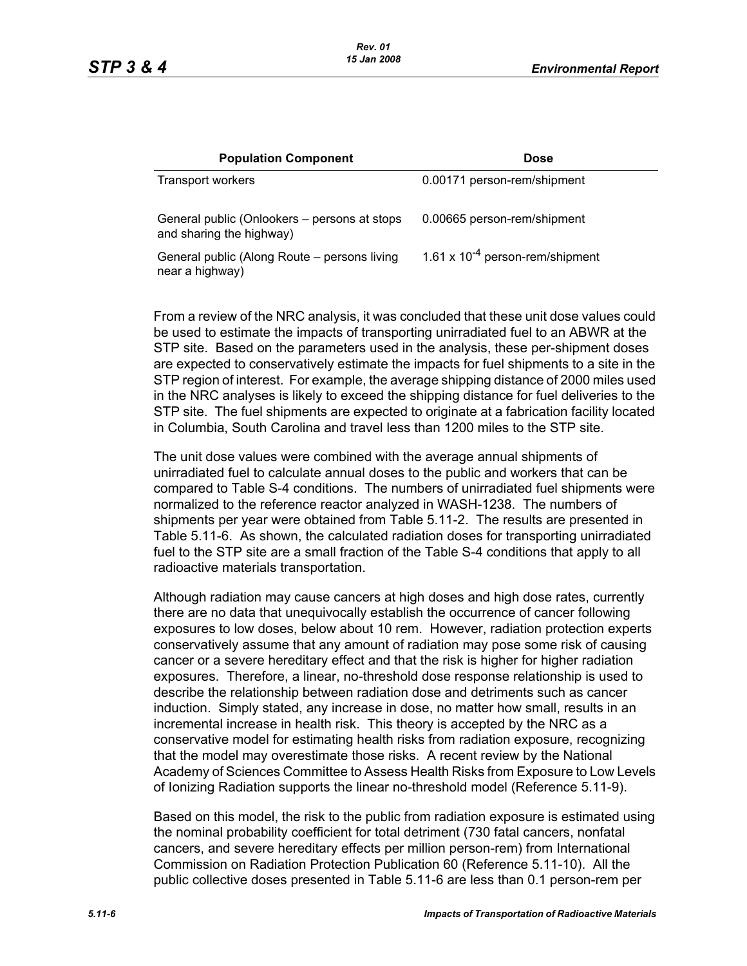| <b>Population Component</b>                                              | <b>Dose</b>                          |
|--------------------------------------------------------------------------|--------------------------------------|
| <b>Transport workers</b>                                                 | 0.00171 person-rem/shipment          |
| General public (Onlookers – persons at stops<br>and sharing the highway) | 0.00665 person-rem/shipment          |
| General public (Along Route – persons living<br>near a highway)          | 1.61 x $10^{-4}$ person-rem/shipment |

From a review of the NRC analysis, it was concluded that these unit dose values could be used to estimate the impacts of transporting unirradiated fuel to an ABWR at the STP site. Based on the parameters used in the analysis, these per-shipment doses are expected to conservatively estimate the impacts for fuel shipments to a site in the STP region of interest. For example, the average shipping distance of 2000 miles used in the NRC analyses is likely to exceed the shipping distance for fuel deliveries to the STP site. The fuel shipments are expected to originate at a fabrication facility located in Columbia, South Carolina and travel less than 1200 miles to the STP site.

The unit dose values were combined with the average annual shipments of unirradiated fuel to calculate annual doses to the public and workers that can be compared to Table S-4 conditions. The numbers of unirradiated fuel shipments were normalized to the reference reactor analyzed in WASH-1238. The numbers of shipments per year were obtained from Table 5.11-2. The results are presented in Table 5.11-6. As shown, the calculated radiation doses for transporting unirradiated fuel to the STP site are a small fraction of the Table S-4 conditions that apply to all radioactive materials transportation.

Although radiation may cause cancers at high doses and high dose rates, currently there are no data that unequivocally establish the occurrence of cancer following exposures to low doses, below about 10 rem. However, radiation protection experts conservatively assume that any amount of radiation may pose some risk of causing cancer or a severe hereditary effect and that the risk is higher for higher radiation exposures. Therefore, a linear, no-threshold dose response relationship is used to describe the relationship between radiation dose and detriments such as cancer induction. Simply stated, any increase in dose, no matter how small, results in an incremental increase in health risk. This theory is accepted by the NRC as a conservative model for estimating health risks from radiation exposure, recognizing that the model may overestimate those risks. A recent review by the National Academy of Sciences Committee to Assess Health Risks from Exposure to Low Levels of Ionizing Radiation supports the linear no-threshold model (Reference 5.11-9).

Based on this model, the risk to the public from radiation exposure is estimated using the nominal probability coefficient for total detriment (730 fatal cancers, nonfatal cancers, and severe hereditary effects per million person-rem) from International Commission on Radiation Protection Publication 60 (Reference 5.11-10). All the public collective doses presented in Table 5.11-6 are less than 0.1 person-rem per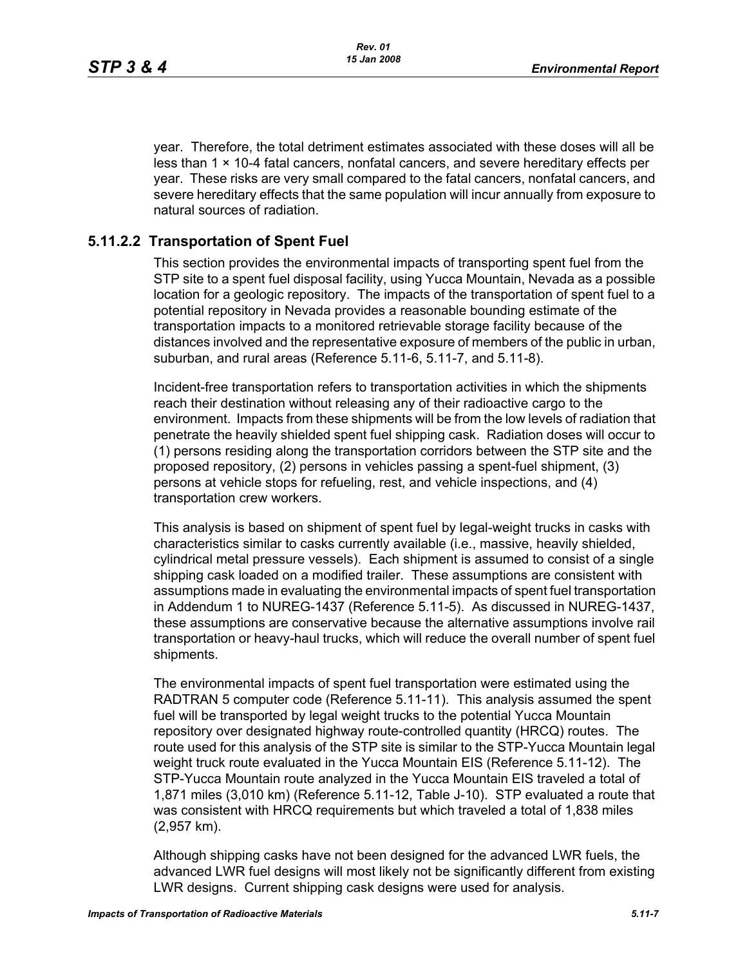year. Therefore, the total detriment estimates associated with these doses will all be less than  $1 \times 10-4$  fatal cancers, nonfatal cancers, and severe hereditary effects per year. These risks are very small compared to the fatal cancers, nonfatal cancers, and severe hereditary effects that the same population will incur annually from exposure to natural sources of radiation.

## **5.11.2.2 Transportation of Spent Fuel**

This section provides the environmental impacts of transporting spent fuel from the STP site to a spent fuel disposal facility, using Yucca Mountain, Nevada as a possible location for a geologic repository. The impacts of the transportation of spent fuel to a potential repository in Nevada provides a reasonable bounding estimate of the transportation impacts to a monitored retrievable storage facility because of the distances involved and the representative exposure of members of the public in urban, suburban, and rural areas (Reference 5.11-6, 5.11-7, and 5.11-8).

Incident-free transportation refers to transportation activities in which the shipments reach their destination without releasing any of their radioactive cargo to the environment. Impacts from these shipments will be from the low levels of radiation that penetrate the heavily shielded spent fuel shipping cask. Radiation doses will occur to (1) persons residing along the transportation corridors between the STP site and the proposed repository, (2) persons in vehicles passing a spent-fuel shipment, (3) persons at vehicle stops for refueling, rest, and vehicle inspections, and (4) transportation crew workers.

This analysis is based on shipment of spent fuel by legal-weight trucks in casks with characteristics similar to casks currently available (i.e., massive, heavily shielded, cylindrical metal pressure vessels). Each shipment is assumed to consist of a single shipping cask loaded on a modified trailer. These assumptions are consistent with assumptions made in evaluating the environmental impacts of spent fuel transportation in Addendum 1 to NUREG-1437 (Reference 5.11-5). As discussed in NUREG-1437, these assumptions are conservative because the alternative assumptions involve rail transportation or heavy-haul trucks, which will reduce the overall number of spent fuel shipments.

The environmental impacts of spent fuel transportation were estimated using the RADTRAN 5 computer code (Reference 5.11-11). This analysis assumed the spent fuel will be transported by legal weight trucks to the potential Yucca Mountain repository over designated highway route-controlled quantity (HRCQ) routes. The route used for this analysis of the STP site is similar to the STP-Yucca Mountain legal weight truck route evaluated in the Yucca Mountain EIS (Reference 5.11-12). The STP-Yucca Mountain route analyzed in the Yucca Mountain EIS traveled a total of 1,871 miles (3,010 km) (Reference 5.11-12, Table J-10). STP evaluated a route that was consistent with HRCQ requirements but which traveled a total of 1,838 miles (2,957 km).

Although shipping casks have not been designed for the advanced LWR fuels, the advanced LWR fuel designs will most likely not be significantly different from existing LWR designs. Current shipping cask designs were used for analysis.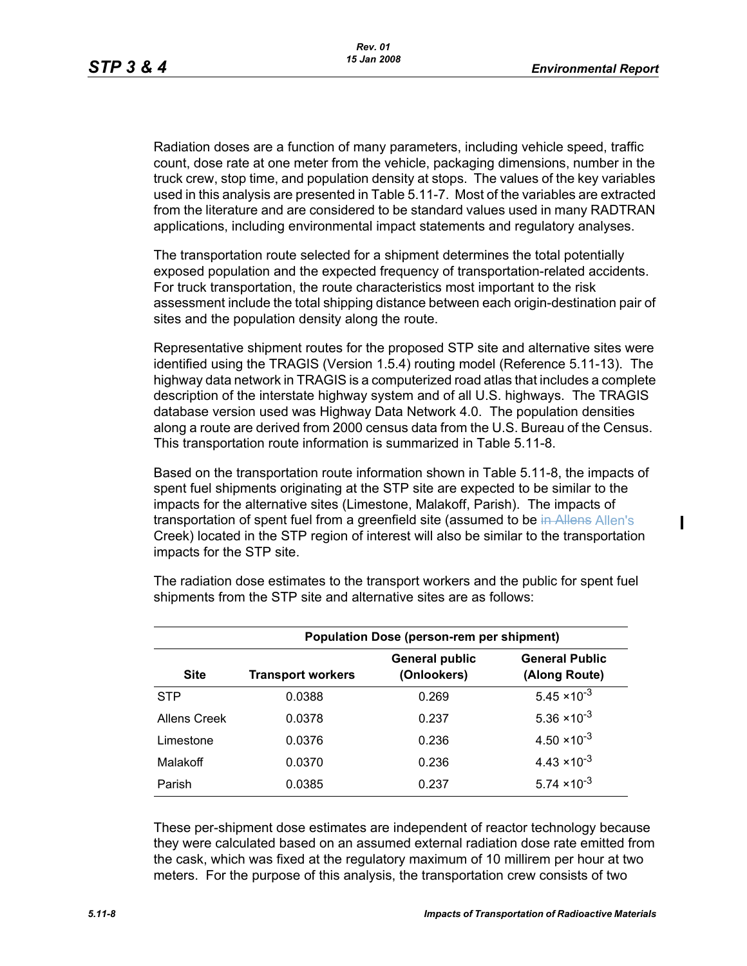Radiation doses are a function of many parameters, including vehicle speed, traffic count, dose rate at one meter from the vehicle, packaging dimensions, number in the truck crew, stop time, and population density at stops. The values of the key variables used in this analysis are presented in Table 5.11-7. Most of the variables are extracted from the literature and are considered to be standard values used in many RADTRAN applications, including environmental impact statements and regulatory analyses.

The transportation route selected for a shipment determines the total potentially exposed population and the expected frequency of transportation-related accidents. For truck transportation, the route characteristics most important to the risk assessment include the total shipping distance between each origin-destination pair of sites and the population density along the route.

Representative shipment routes for the proposed STP site and alternative sites were identified using the TRAGIS (Version 1.5.4) routing model (Reference 5.11-13). The highway data network in TRAGIS is a computerized road atlas that includes a complete description of the interstate highway system and of all U.S. highways. The TRAGIS database version used was Highway Data Network 4.0. The population densities along a route are derived from 2000 census data from the U.S. Bureau of the Census. This transportation route information is summarized in Table 5.11-8.

Based on the transportation route information shown in Table 5.11-8, the impacts of spent fuel shipments originating at the STP site are expected to be similar to the impacts for the alternative sites (Limestone, Malakoff, Parish). The impacts of transportation of spent fuel from a greenfield site (assumed to be in Allens Allen's Creek) located in the STP region of interest will also be similar to the transportation impacts for the STP site.

| <b>Population Dose (person-rem per shipment)</b> |                          |                                      |                                        |  |  |  |
|--------------------------------------------------|--------------------------|--------------------------------------|----------------------------------------|--|--|--|
| <b>Site</b>                                      | <b>Transport workers</b> | <b>General public</b><br>(Onlookers) | <b>General Public</b><br>(Along Route) |  |  |  |
| <b>STP</b>                                       | 0.0388                   | 0.269                                | $5.45 \times 10^{-3}$                  |  |  |  |
| Allens Creek                                     | 0.0378                   | 0.237                                | $5.36 \times 10^{-3}$                  |  |  |  |
| Limestone                                        | 0.0376                   | 0.236                                | $4.50 \times 10^{-3}$                  |  |  |  |
| Malakoff                                         | 0.0370                   | 0.236                                | $4.43 \times 10^{-3}$                  |  |  |  |
| Parish                                           | 0.0385                   | 0.237                                | $5.74 \times 10^{-3}$                  |  |  |  |

The radiation dose estimates to the transport workers and the public for spent fuel shipments from the STP site and alternative sites are as follows:

These per-shipment dose estimates are independent of reactor technology because they were calculated based on an assumed external radiation dose rate emitted from the cask, which was fixed at the regulatory maximum of 10 millirem per hour at two meters. For the purpose of this analysis, the transportation crew consists of two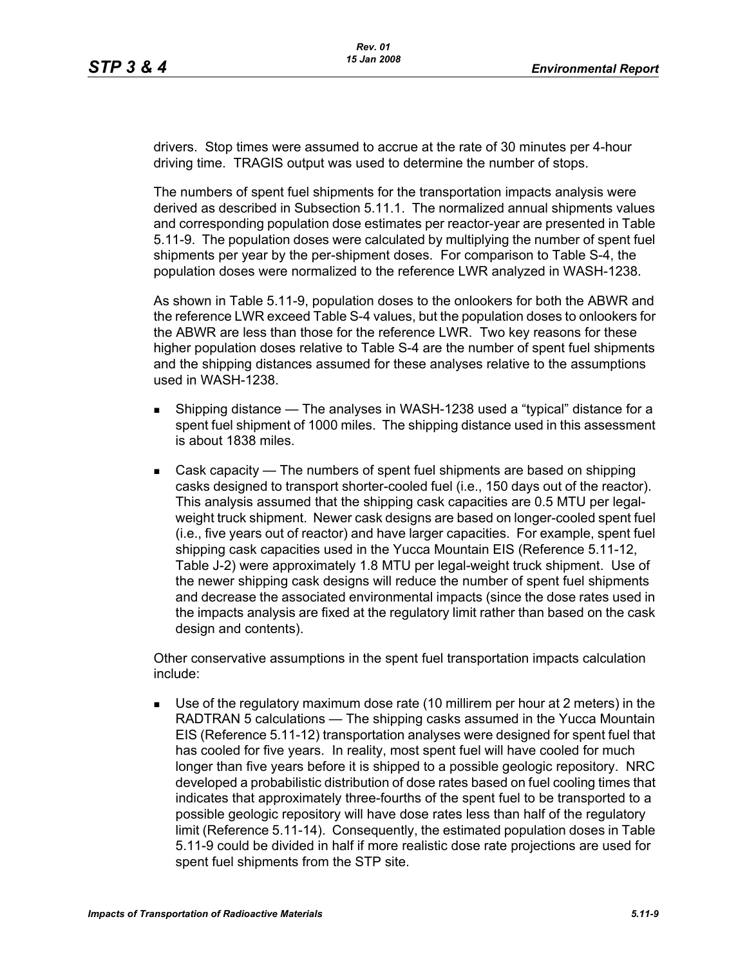drivers. Stop times were assumed to accrue at the rate of 30 minutes per 4-hour driving time. TRAGIS output was used to determine the number of stops.

The numbers of spent fuel shipments for the transportation impacts analysis were derived as described in Subsection 5.11.1. The normalized annual shipments values and corresponding population dose estimates per reactor-year are presented in Table 5.11-9. The population doses were calculated by multiplying the number of spent fuel shipments per year by the per-shipment doses. For comparison to Table S-4, the population doses were normalized to the reference LWR analyzed in WASH-1238.

As shown in Table 5.11-9, population doses to the onlookers for both the ABWR and the reference LWR exceed Table S-4 values, but the population doses to onlookers for the ABWR are less than those for the reference LWR. Two key reasons for these higher population doses relative to Table S-4 are the number of spent fuel shipments and the shipping distances assumed for these analyses relative to the assumptions used in WASH-1238.

- **Shipping distance The analyses in WASH-1238 used a "typical" distance for a** spent fuel shipment of 1000 miles. The shipping distance used in this assessment is about 1838 miles.
- Cask capacity The numbers of spent fuel shipments are based on shipping casks designed to transport shorter-cooled fuel (i.e., 150 days out of the reactor). This analysis assumed that the shipping cask capacities are 0.5 MTU per legalweight truck shipment. Newer cask designs are based on longer-cooled spent fuel (i.e., five years out of reactor) and have larger capacities. For example, spent fuel shipping cask capacities used in the Yucca Mountain EIS (Reference 5.11-12, Table J-2) were approximately 1.8 MTU per legal-weight truck shipment. Use of the newer shipping cask designs will reduce the number of spent fuel shipments and decrease the associated environmental impacts (since the dose rates used in the impacts analysis are fixed at the regulatory limit rather than based on the cask design and contents).

Other conservative assumptions in the spent fuel transportation impacts calculation include:

 Use of the regulatory maximum dose rate (10 millirem per hour at 2 meters) in the RADTRAN 5 calculations — The shipping casks assumed in the Yucca Mountain EIS (Reference 5.11-12) transportation analyses were designed for spent fuel that has cooled for five years. In reality, most spent fuel will have cooled for much longer than five years before it is shipped to a possible geologic repository. NRC developed a probabilistic distribution of dose rates based on fuel cooling times that indicates that approximately three-fourths of the spent fuel to be transported to a possible geologic repository will have dose rates less than half of the regulatory limit (Reference 5.11-14). Consequently, the estimated population doses in Table 5.11-9 could be divided in half if more realistic dose rate projections are used for spent fuel shipments from the STP site.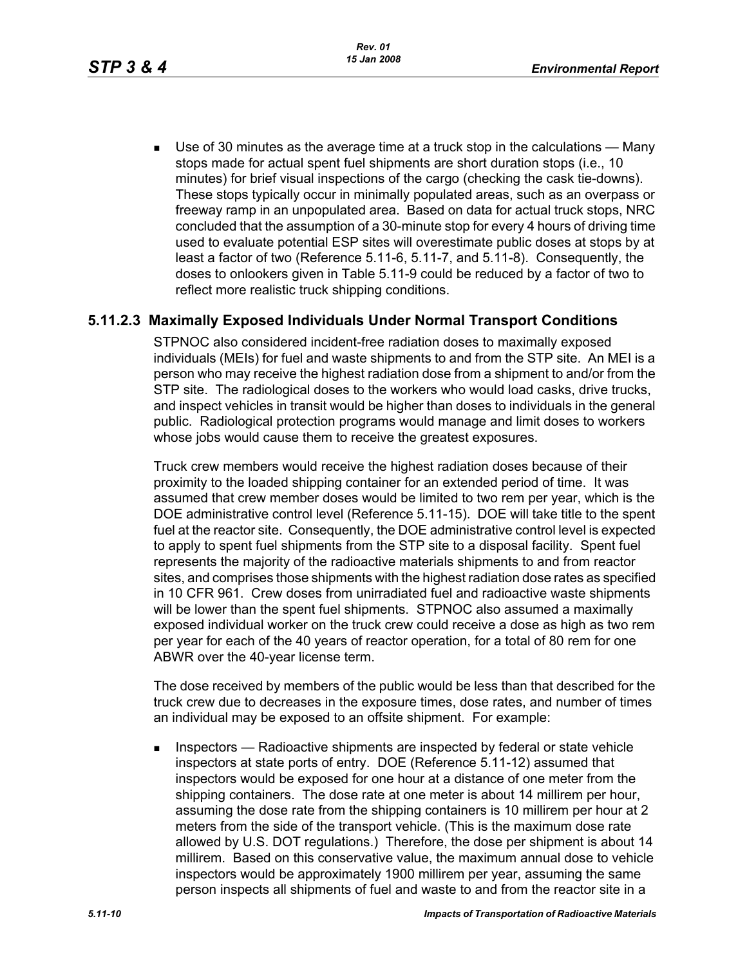Use of 30 minutes as the average time at a truck stop in the calculations — Many stops made for actual spent fuel shipments are short duration stops (i.e., 10 minutes) for brief visual inspections of the cargo (checking the cask tie-downs). These stops typically occur in minimally populated areas, such as an overpass or freeway ramp in an unpopulated area. Based on data for actual truck stops, NRC concluded that the assumption of a 30-minute stop for every 4 hours of driving time used to evaluate potential ESP sites will overestimate public doses at stops by at least a factor of two (Reference 5.11-6, 5.11-7, and 5.11-8). Consequently, the doses to onlookers given in Table 5.11-9 could be reduced by a factor of two to reflect more realistic truck shipping conditions.

#### **5.11.2.3 Maximally Exposed Individuals Under Normal Transport Conditions**

STPNOC also considered incident-free radiation doses to maximally exposed individuals (MEIs) for fuel and waste shipments to and from the STP site. An MEI is a person who may receive the highest radiation dose from a shipment to and/or from the STP site. The radiological doses to the workers who would load casks, drive trucks, and inspect vehicles in transit would be higher than doses to individuals in the general public. Radiological protection programs would manage and limit doses to workers whose jobs would cause them to receive the greatest exposures.

Truck crew members would receive the highest radiation doses because of their proximity to the loaded shipping container for an extended period of time. It was assumed that crew member doses would be limited to two rem per year, which is the DOE administrative control level (Reference 5.11-15). DOE will take title to the spent fuel at the reactor site. Consequently, the DOE administrative control level is expected to apply to spent fuel shipments from the STP site to a disposal facility. Spent fuel represents the majority of the radioactive materials shipments to and from reactor sites, and comprises those shipments with the highest radiation dose rates as specified in 10 CFR 961. Crew doses from unirradiated fuel and radioactive waste shipments will be lower than the spent fuel shipments. STPNOC also assumed a maximally exposed individual worker on the truck crew could receive a dose as high as two rem per year for each of the 40 years of reactor operation, for a total of 80 rem for one ABWR over the 40-year license term.

The dose received by members of the public would be less than that described for the truck crew due to decreases in the exposure times, dose rates, and number of times an individual may be exposed to an offsite shipment. For example:

**Inspectors** — Radioactive shipments are inspected by federal or state vehicle inspectors at state ports of entry. DOE (Reference 5.11-12) assumed that inspectors would be exposed for one hour at a distance of one meter from the shipping containers. The dose rate at one meter is about 14 millirem per hour, assuming the dose rate from the shipping containers is 10 millirem per hour at 2 meters from the side of the transport vehicle. (This is the maximum dose rate allowed by U.S. DOT regulations.) Therefore, the dose per shipment is about 14 millirem. Based on this conservative value, the maximum annual dose to vehicle inspectors would be approximately 1900 millirem per year, assuming the same person inspects all shipments of fuel and waste to and from the reactor site in a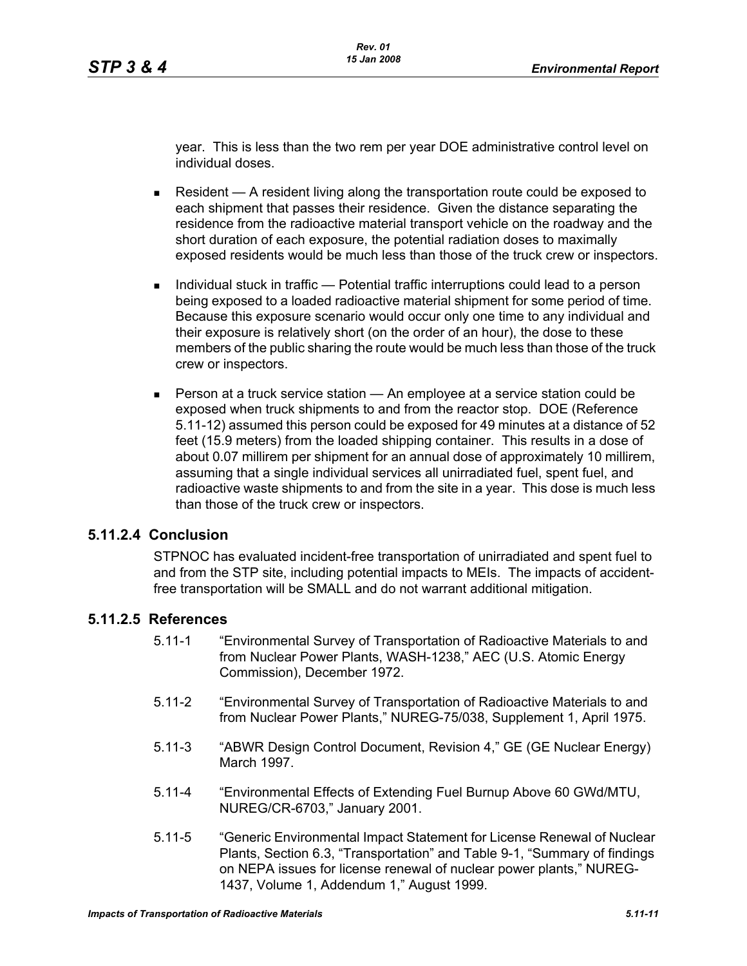year. This is less than the two rem per year DOE administrative control level on individual doses.

- Resident  $A$  resident living along the transportation route could be exposed to each shipment that passes their residence. Given the distance separating the residence from the radioactive material transport vehicle on the roadway and the short duration of each exposure, the potential radiation doses to maximally exposed residents would be much less than those of the truck crew or inspectors.
- Individual stuck in traffic Potential traffic interruptions could lead to a person being exposed to a loaded radioactive material shipment for some period of time. Because this exposure scenario would occur only one time to any individual and their exposure is relatively short (on the order of an hour), the dose to these members of the public sharing the route would be much less than those of the truck crew or inspectors.
- **Person at a truck service station An employee at a service station could be** exposed when truck shipments to and from the reactor stop. DOE (Reference 5.11-12) assumed this person could be exposed for 49 minutes at a distance of 52 feet (15.9 meters) from the loaded shipping container. This results in a dose of about 0.07 millirem per shipment for an annual dose of approximately 10 millirem, assuming that a single individual services all unirradiated fuel, spent fuel, and radioactive waste shipments to and from the site in a year. This dose is much less than those of the truck crew or inspectors.

#### **5.11.2.4 Conclusion**

STPNOC has evaluated incident-free transportation of unirradiated and spent fuel to and from the STP site, including potential impacts to MEIs. The impacts of accidentfree transportation will be SMALL and do not warrant additional mitigation.

#### **5.11.2.5 References**

- 5.11-1 "Environmental Survey of Transportation of Radioactive Materials to and from Nuclear Power Plants, WASH-1238," AEC (U.S. Atomic Energy Commission), December 1972.
- 5.11-2 "Environmental Survey of Transportation of Radioactive Materials to and from Nuclear Power Plants," NUREG-75/038, Supplement 1, April 1975.
- 5.11-3 "ABWR Design Control Document, Revision 4," GE (GE Nuclear Energy) March 1997.
- 5.11-4 "Environmental Effects of Extending Fuel Burnup Above 60 GWd/MTU, NUREG/CR-6703," January 2001.
- 5.11-5 "Generic Environmental Impact Statement for License Renewal of Nuclear Plants, Section 6.3, "Transportation" and Table 9-1, "Summary of findings on NEPA issues for license renewal of nuclear power plants," NUREG-1437, Volume 1, Addendum 1," August 1999.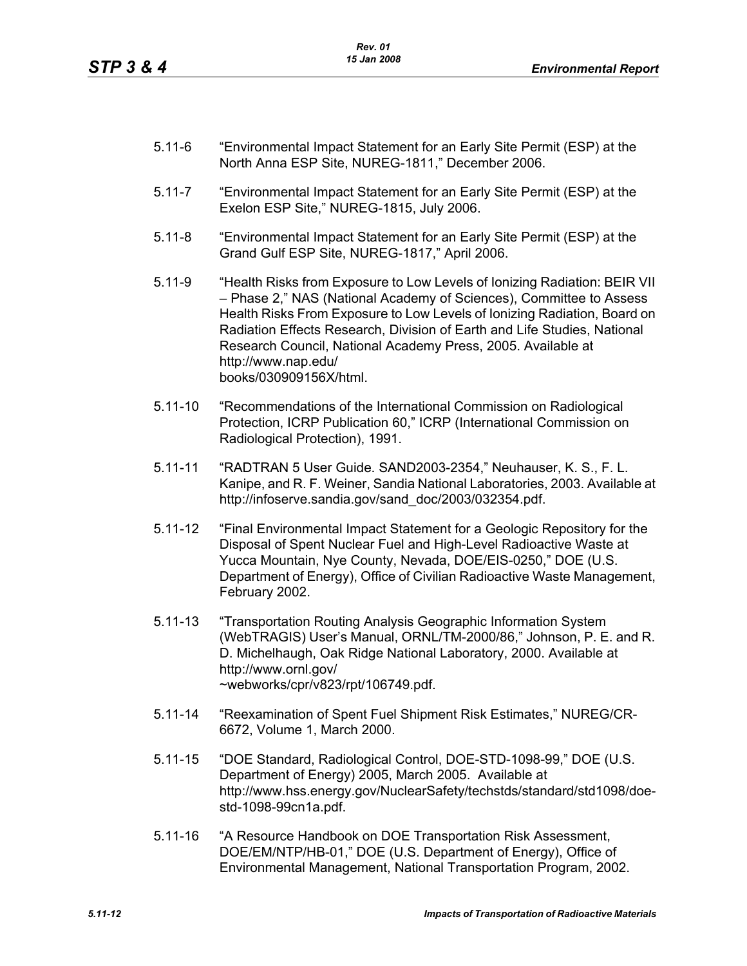- 5.11-6 "Environmental Impact Statement for an Early Site Permit (ESP) at the North Anna ESP Site, NUREG-1811," December 2006.
- 5.11-7 "Environmental Impact Statement for an Early Site Permit (ESP) at the Exelon ESP Site," NUREG-1815, July 2006.
- 5.11-8 "Environmental Impact Statement for an Early Site Permit (ESP) at the Grand Gulf ESP Site, NUREG-1817," April 2006.
- 5.11-9 "Health Risks from Exposure to Low Levels of Ionizing Radiation: BEIR VII – Phase 2," NAS (National Academy of Sciences), Committee to Assess Health Risks From Exposure to Low Levels of Ionizing Radiation, Board on Radiation Effects Research, Division of Earth and Life Studies, National Research Council, National Academy Press, 2005. Available at http://www.nap.edu/ books/030909156X/html.
- 5.11-10 "Recommendations of the International Commission on Radiological Protection, ICRP Publication 60," ICRP (International Commission on Radiological Protection), 1991.
- 5.11-11 "RADTRAN 5 User Guide. SAND2003-2354," Neuhauser, K. S., F. L. Kanipe, and R. F. Weiner, Sandia National Laboratories, 2003. Available at http://infoserve.sandia.gov/sand\_doc/2003/032354.pdf.
- 5.11-12 "Final Environmental Impact Statement for a Geologic Repository for the Disposal of Spent Nuclear Fuel and High-Level Radioactive Waste at Yucca Mountain, Nye County, Nevada, DOE/EIS-0250," DOE (U.S. Department of Energy), Office of Civilian Radioactive Waste Management, February 2002.
- 5.11-13 "Transportation Routing Analysis Geographic Information System (WebTRAGIS) User's Manual, ORNL/TM-2000/86," Johnson, P. E. and R. D. Michelhaugh, Oak Ridge National Laboratory, 2000. Available at http://www.ornl.gov/ ~webworks/cpr/v823/rpt/106749.pdf.
- 5.11-14 "Reexamination of Spent Fuel Shipment Risk Estimates," NUREG/CR-6672, Volume 1, March 2000.
- 5.11-15 "DOE Standard, Radiological Control, DOE-STD-1098-99," DOE (U.S. Department of Energy) 2005, March 2005. Available at http://www.hss.energy.gov/NuclearSafety/techstds/standard/std1098/doestd-1098-99cn1a.pdf.
- 5.11-16 "A Resource Handbook on DOE Transportation Risk Assessment, DOE/EM/NTP/HB-01," DOE (U.S. Department of Energy), Office of Environmental Management, National Transportation Program, 2002.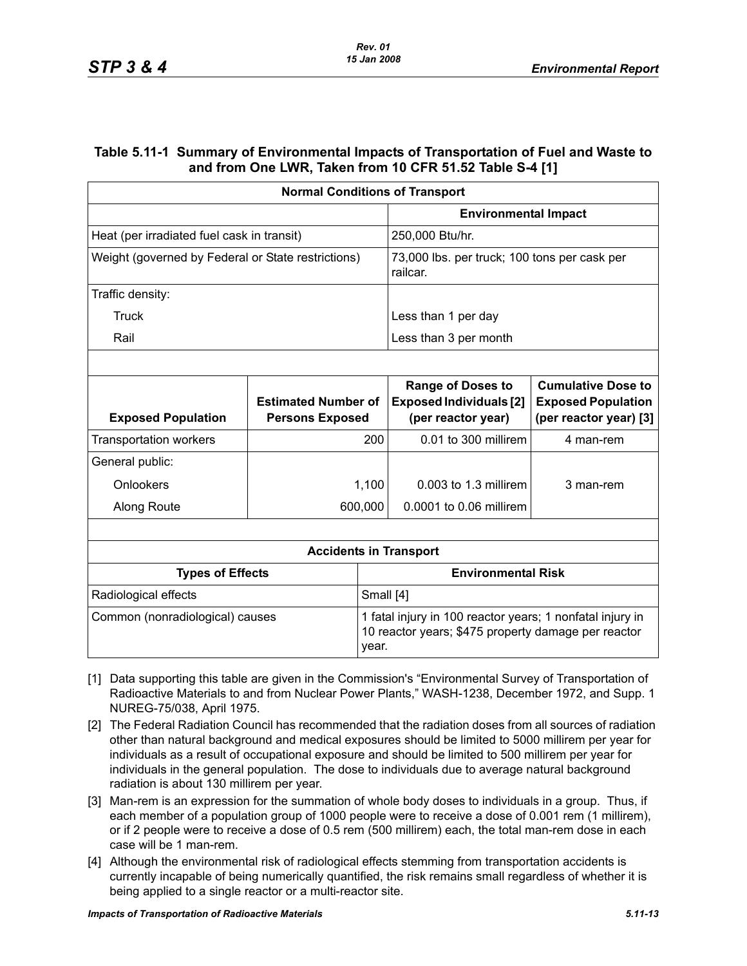#### **Table 5.11-1 Summary of Environmental Impacts of Transportation of Fuel and Waste to and from One LWR, Taken from 10 CFR 51.52 Table S-4 [1]**

| <b>Normal Conditions of Transport</b>              |                                                      |         |                                                                                                                  |                                                                                  |  |  |
|----------------------------------------------------|------------------------------------------------------|---------|------------------------------------------------------------------------------------------------------------------|----------------------------------------------------------------------------------|--|--|
|                                                    |                                                      |         | <b>Environmental Impact</b>                                                                                      |                                                                                  |  |  |
| Heat (per irradiated fuel cask in transit)         |                                                      |         | 250,000 Btu/hr.                                                                                                  |                                                                                  |  |  |
| Weight (governed by Federal or State restrictions) |                                                      |         | 73,000 lbs. per truck; 100 tons per cask per<br>railcar.                                                         |                                                                                  |  |  |
| Traffic density:                                   |                                                      |         |                                                                                                                  |                                                                                  |  |  |
| Truck                                              |                                                      |         | Less than 1 per day                                                                                              |                                                                                  |  |  |
| Rail                                               |                                                      |         | Less than 3 per month                                                                                            |                                                                                  |  |  |
|                                                    |                                                      |         |                                                                                                                  |                                                                                  |  |  |
| <b>Exposed Population</b>                          | <b>Estimated Number of</b><br><b>Persons Exposed</b> |         | <b>Range of Doses to</b><br><b>Exposed Individuals [2]</b><br>(per reactor year)                                 | <b>Cumulative Dose to</b><br><b>Exposed Population</b><br>(per reactor year) [3] |  |  |
| <b>Transportation workers</b>                      |                                                      | 200     | 0.01 to 300 millirem                                                                                             | 4 man-rem                                                                        |  |  |
| General public:                                    |                                                      |         |                                                                                                                  |                                                                                  |  |  |
| Onlookers                                          |                                                      | 1,100   | $0.003$ to 1.3 millirem                                                                                          | 3 man-rem                                                                        |  |  |
| Along Route                                        |                                                      | 600,000 | 0.0001 to 0.06 millirem                                                                                          |                                                                                  |  |  |
|                                                    |                                                      |         |                                                                                                                  |                                                                                  |  |  |
|                                                    |                                                      |         | <b>Accidents in Transport</b>                                                                                    |                                                                                  |  |  |
| <b>Types of Effects</b>                            |                                                      |         | <b>Environmental Risk</b>                                                                                        |                                                                                  |  |  |
| Radiological effects<br>Small [4]                  |                                                      |         |                                                                                                                  |                                                                                  |  |  |
| Common (nonradiological) causes<br>year.           |                                                      |         | 1 fatal injury in 100 reactor years; 1 nonfatal injury in<br>10 reactor years; \$475 property damage per reactor |                                                                                  |  |  |

- [1] Data supporting this table are given in the Commission's "Environmental Survey of Transportation of Radioactive Materials to and from Nuclear Power Plants," WASH-1238, December 1972, and Supp. 1 NUREG-75/038, April 1975.
- [2] The Federal Radiation Council has recommended that the radiation doses from all sources of radiation other than natural background and medical exposures should be limited to 5000 millirem per year for individuals as a result of occupational exposure and should be limited to 500 millirem per year for individuals in the general population. The dose to individuals due to average natural background radiation is about 130 millirem per year.
- [3] Man-rem is an expression for the summation of whole body doses to individuals in a group. Thus, if each member of a population group of 1000 people were to receive a dose of 0.001 rem (1 millirem), or if 2 people were to receive a dose of 0.5 rem (500 millirem) each, the total man-rem dose in each case will be 1 man-rem.
- [4] Although the environmental risk of radiological effects stemming from transportation accidents is currently incapable of being numerically quantified, the risk remains small regardless of whether it is being applied to a single reactor or a multi-reactor site.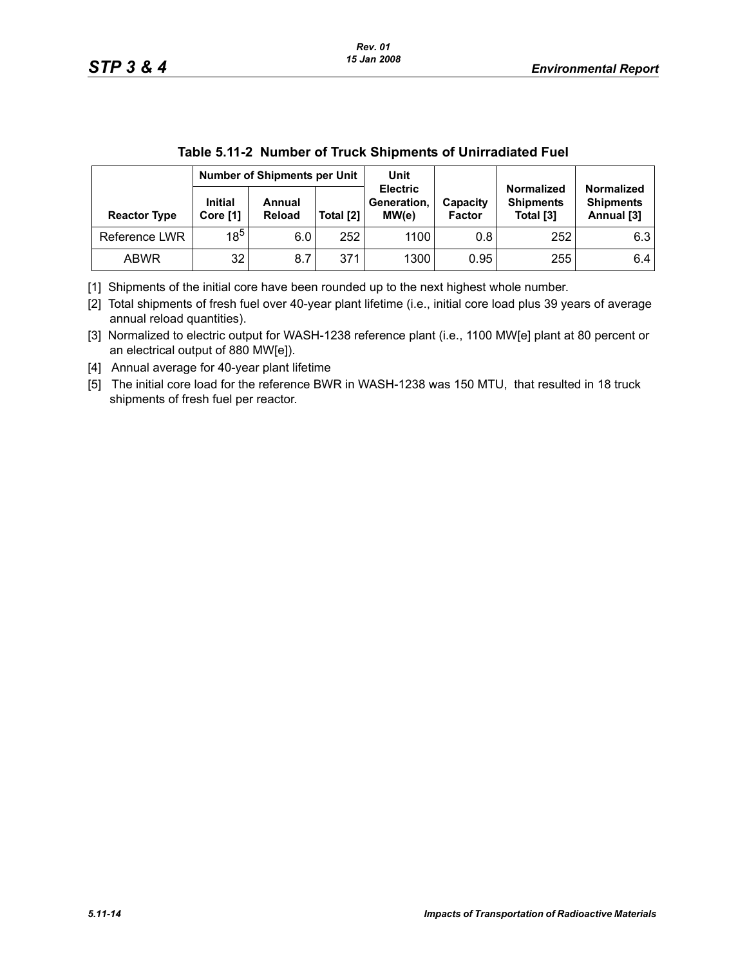| <u>RAJIC J. II-4 MUNINGI UL TRUCK ONIDHIGHTS UL ONIHAURACH I UCH</u> |                                     |                  |           |                                         |                           |                                                    |                                                     |  |
|----------------------------------------------------------------------|-------------------------------------|------------------|-----------|-----------------------------------------|---------------------------|----------------------------------------------------|-----------------------------------------------------|--|
|                                                                      | <b>Number of Shipments per Unit</b> |                  |           | Unit                                    |                           |                                                    |                                                     |  |
| <b>Reactor Type</b>                                                  | <b>Initial</b><br>Core [1]          | Annual<br>Reload | Total [2] | <b>Electric</b><br>Generation,<br>MW(e) | Capacity<br><b>Factor</b> | <b>Normalized</b><br><b>Shipments</b><br>Total [3] | <b>Normalized</b><br><b>Shipments</b><br>Annual [3] |  |
| Reference LWR                                                        | $18^{5}$                            | 6.0              | 252       | 1100                                    | 0.8                       | 252                                                | 6.3                                                 |  |
| <b>ABWR</b>                                                          | 32                                  | 8.7              | 371       | 1300                                    | 0.95                      | 255                                                | 6.4                                                 |  |

[1] Shipments of the initial core have been rounded up to the next highest whole number.

[2] Total shipments of fresh fuel over 40-year plant lifetime (i.e., initial core load plus 39 years of average annual reload quantities).

[3] Normalized to electric output for WASH-1238 reference plant (i.e., 1100 MW[e] plant at 80 percent or an electrical output of 880 MW[e]).

[4] Annual average for 40-year plant lifetime

[5] The initial core load for the reference BWR in WASH-1238 was 150 MTU, that resulted in 18 truck shipments of fresh fuel per reactor.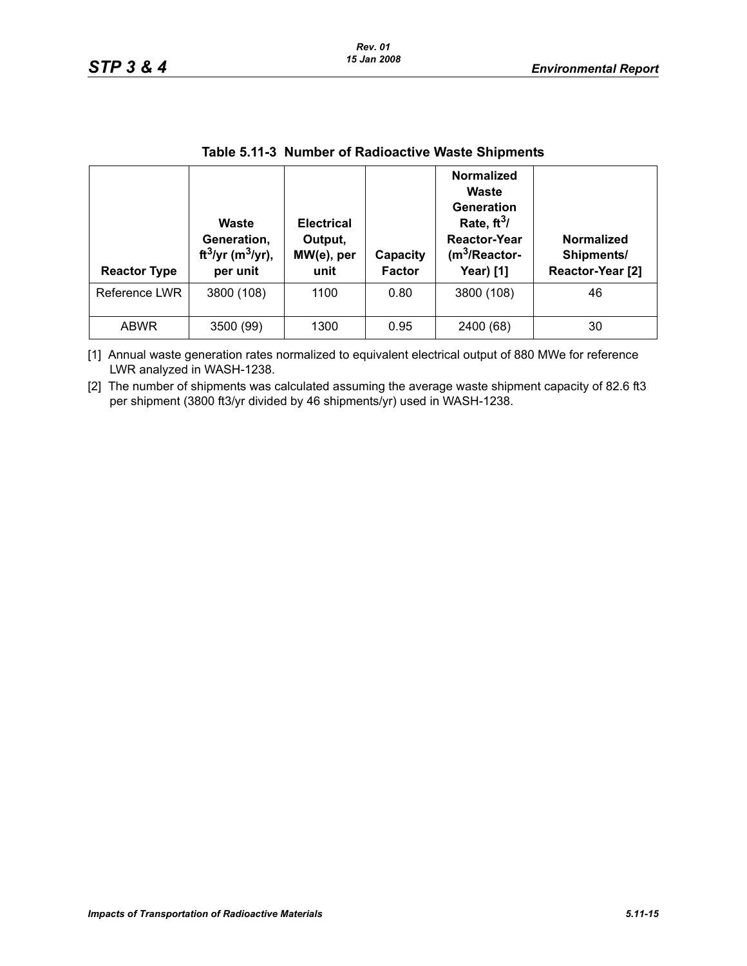| <b>Reactor Type</b> | Waste<br>Generation,<br>ft <sup>3</sup> /yr (m <sup>3</sup> /yr),<br>per unit | <b>Electrical</b><br>Output,<br>MW(e), per<br>unit | Capacity<br><b>Factor</b> | <b>Normalized</b><br>Waste<br>Generation<br>Rate, $ft^3/$<br><b>Reactor-Year</b><br>$(m^3)$ Reactor-<br><b>Year)</b> [1] | <b>Normalized</b><br>Shipments/<br>Reactor-Year [2] |
|---------------------|-------------------------------------------------------------------------------|----------------------------------------------------|---------------------------|--------------------------------------------------------------------------------------------------------------------------|-----------------------------------------------------|
| Reference LWR       | 3800 (108)                                                                    | 1100                                               | 0.80                      | 3800 (108)                                                                                                               | 46                                                  |
| <b>ABWR</b>         | 3500 (99)                                                                     | 1300                                               | 0.95                      | 2400 (68)                                                                                                                | 30                                                  |

|  |  |  | Table 5.11-3 Number of Radioactive Waste Shipments |
|--|--|--|----------------------------------------------------|
|--|--|--|----------------------------------------------------|

[1] Annual waste generation rates normalized to equivalent electrical output of 880 MWe for reference LWR analyzed in WASH-1238.

[2] The number of shipments was calculated assuming the average waste shipment capacity of 82.6 ft3 per shipment (3800 ft3/yr divided by 46 shipments/yr) used in WASH-1238.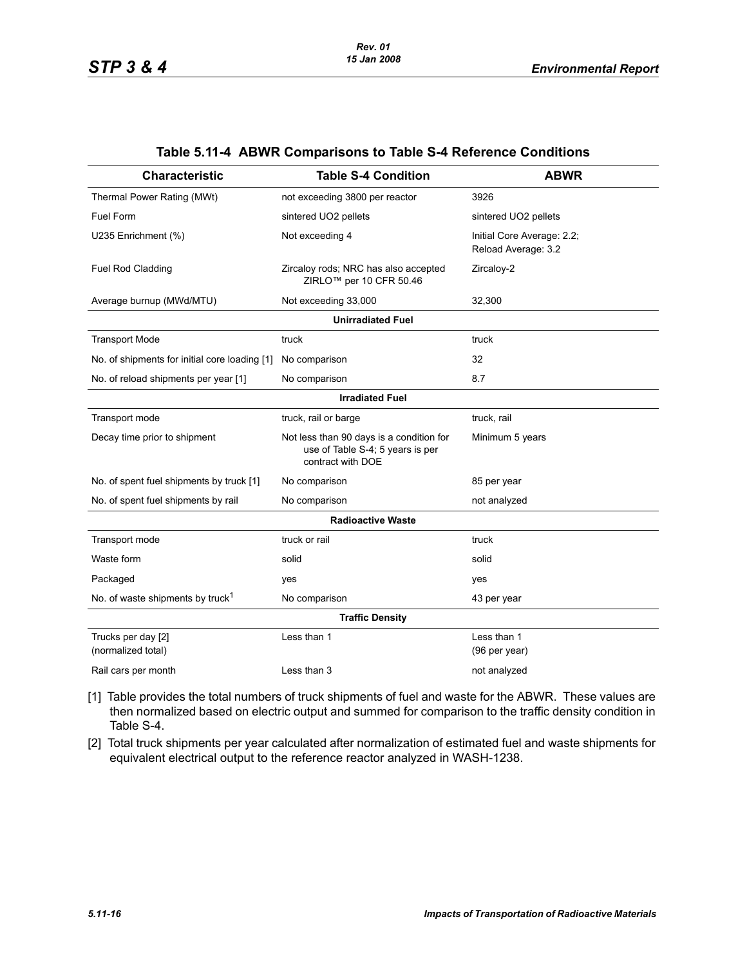| <b>Characteristic</b>                         | <b>Table S-4 Condition</b>                                                                        | <b>ABWR</b>                                       |
|-----------------------------------------------|---------------------------------------------------------------------------------------------------|---------------------------------------------------|
| Thermal Power Rating (MWt)                    | not exceeding 3800 per reactor                                                                    | 3926                                              |
| <b>Fuel Form</b>                              | sintered UO2 pellets                                                                              | sintered UO2 pellets                              |
| U235 Enrichment (%)                           | Not exceeding 4                                                                                   | Initial Core Average: 2.2;<br>Reload Average: 3.2 |
| <b>Fuel Rod Cladding</b>                      | Zircaloy rods; NRC has also accepted<br>ZIRLO <sup>™</sup> per 10 CFR 50.46                       | Zircaloy-2                                        |
| Average burnup (MWd/MTU)                      | Not exceeding 33,000                                                                              | 32,300                                            |
|                                               | <b>Unirradiated Fuel</b>                                                                          |                                                   |
| <b>Transport Mode</b>                         | truck                                                                                             | truck                                             |
| No. of shipments for initial core loading [1] | No comparison                                                                                     | 32                                                |
| No. of reload shipments per year [1]          | No comparison                                                                                     | 8.7                                               |
|                                               | <b>Irradiated Fuel</b>                                                                            |                                                   |
| Transport mode                                | truck, rail or barge                                                                              | truck, rail                                       |
| Decay time prior to shipment                  | Not less than 90 days is a condition for<br>use of Table S-4; 5 years is per<br>contract with DOE | Minimum 5 years                                   |
| No. of spent fuel shipments by truck [1]      | No comparison                                                                                     | 85 per year                                       |
| No. of spent fuel shipments by rail           | No comparison                                                                                     | not analyzed                                      |
|                                               | <b>Radioactive Waste</b>                                                                          |                                                   |
| Transport mode                                | truck or rail                                                                                     | truck                                             |
| Waste form                                    | solid                                                                                             | solid                                             |
| Packaged                                      | yes                                                                                               | yes                                               |
| No. of waste shipments by truck <sup>1</sup>  | No comparison                                                                                     | 43 per year                                       |
|                                               | <b>Traffic Density</b>                                                                            |                                                   |
| Trucks per day [2]<br>(normalized total)      | Less than 1                                                                                       | Less than 1<br>(96 per year)                      |
| Rail cars per month                           | Less than 3                                                                                       | not analyzed                                      |

#### **Table 5.11-4 ABWR Comparisons to Table S-4 Reference Conditions**

[1] Table provides the total numbers of truck shipments of fuel and waste for the ABWR. These values are then normalized based on electric output and summed for comparison to the traffic density condition in Table S-4.

[2] Total truck shipments per year calculated after normalization of estimated fuel and waste shipments for equivalent electrical output to the reference reactor analyzed in WASH-1238.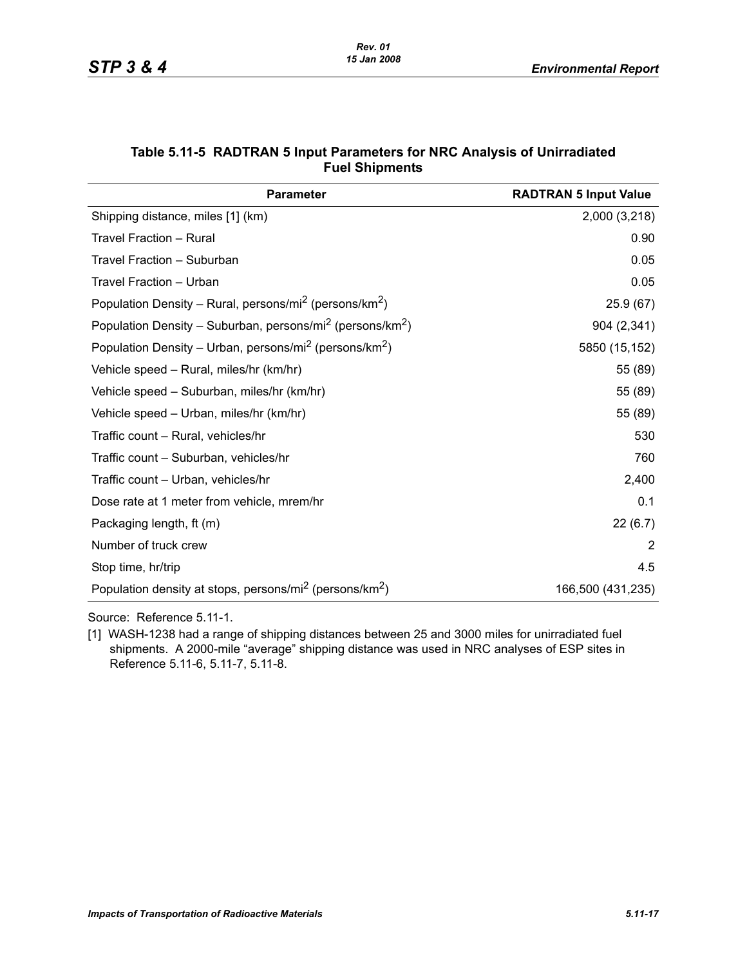| <b>Parameter</b>                                                                  | <b>RADTRAN 5 Input Value</b> |
|-----------------------------------------------------------------------------------|------------------------------|
| Shipping distance, miles [1] (km)                                                 | 2,000 (3,218)                |
| <b>Travel Fraction - Rural</b>                                                    | 0.90                         |
| Travel Fraction - Suburban                                                        | 0.05                         |
| Travel Fraction - Urban                                                           | 0.05                         |
| Population Density – Rural, persons/mi <sup>2</sup> (persons/km <sup>2</sup> )    | 25.9(67)                     |
| Population Density – Suburban, persons/mi <sup>2</sup> (persons/km <sup>2</sup> ) | 904 (2,341)                  |
| Population Density – Urban, persons/mi <sup>2</sup> (persons/km <sup>2</sup> )    | 5850 (15,152)                |
| Vehicle speed - Rural, miles/hr (km/hr)                                           | 55 (89)                      |
| Vehicle speed - Suburban, miles/hr (km/hr)                                        | 55 (89)                      |
| Vehicle speed – Urban, miles/hr (km/hr)                                           | 55 (89)                      |
| Traffic count - Rural, vehicles/hr                                                | 530                          |
| Traffic count – Suburban, vehicles/hr                                             | 760                          |
| Traffic count - Urban, vehicles/hr                                                | 2,400                        |
| Dose rate at 1 meter from vehicle, mrem/hr                                        | 0.1                          |
| Packaging length, ft (m)                                                          | 22(6.7)                      |
| Number of truck crew                                                              | 2                            |
| Stop time, hr/trip                                                                | 4.5                          |
| Population density at stops, persons/mi <sup>2</sup> (persons/km <sup>2</sup> )   | 166,500 (431,235)            |

#### **Table 5.11-5 RADTRAN 5 Input Parameters for NRC Analysis of Unirradiated Fuel Shipments**

Source: Reference 5.11-1.

[1] WASH-1238 had a range of shipping distances between 25 and 3000 miles for unirradiated fuel shipments. A 2000-mile "average" shipping distance was used in NRC analyses of ESP sites in Reference 5.11-6, 5.11-7, 5.11-8.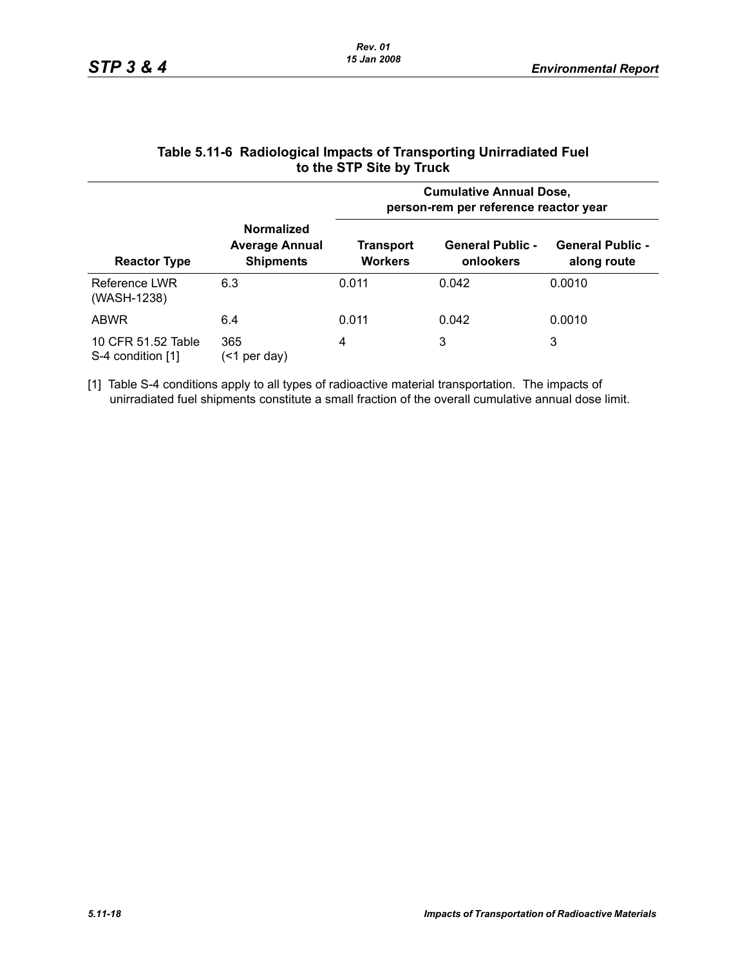| <b>Reactor Type</b>                     |                                                                | <b>Cumulative Annual Dose,</b><br>person-rem per reference reactor year |                                      |                                        |  |  |
|-----------------------------------------|----------------------------------------------------------------|-------------------------------------------------------------------------|--------------------------------------|----------------------------------------|--|--|
|                                         | <b>Normalized</b><br><b>Average Annual</b><br><b>Shipments</b> | <b>Transport</b><br><b>Workers</b>                                      | <b>General Public -</b><br>onlookers | <b>General Public -</b><br>along route |  |  |
| Reference LWR<br>(WASH-1238)            | 6.3                                                            | 0.011                                                                   | 0.042                                | 0.0010                                 |  |  |
| ABWR                                    | 6.4                                                            | 0.011                                                                   | 0.042                                | 0.0010                                 |  |  |
| 10 CFR 51.52 Table<br>S-4 condition [1] | 365<br>per day)<br>(<1                                         | 4                                                                       | 3                                    | 3                                      |  |  |

#### **Table 5.11-6 Radiological Impacts of Transporting Unirradiated Fuel to the STP Site by Truck**

[1] Table S-4 conditions apply to all types of radioactive material transportation. The impacts of unirradiated fuel shipments constitute a small fraction of the overall cumulative annual dose limit.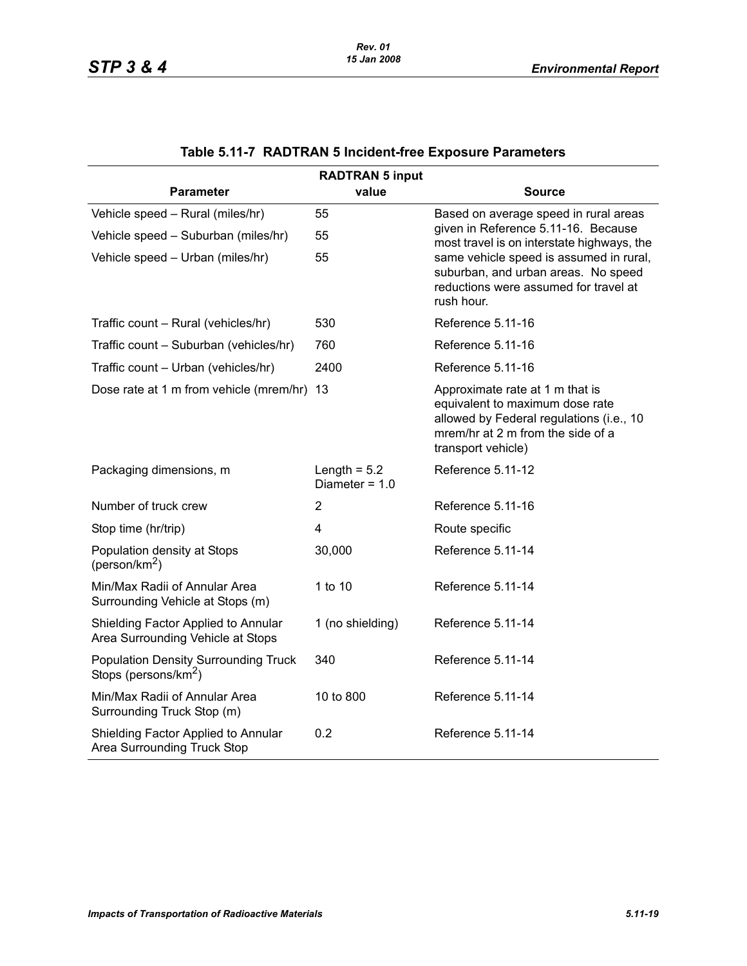|                                                                                 | <b>RADTRAN 5 input</b>             |                                                                                                                                                                           |
|---------------------------------------------------------------------------------|------------------------------------|---------------------------------------------------------------------------------------------------------------------------------------------------------------------------|
| <b>Parameter</b>                                                                | value                              | Source                                                                                                                                                                    |
| Vehicle speed - Rural (miles/hr)                                                | 55                                 | Based on average speed in rural areas                                                                                                                                     |
| Vehicle speed - Suburban (miles/hr)                                             | 55                                 | given in Reference 5.11-16. Because<br>most travel is on interstate highways, the                                                                                         |
| Vehicle speed - Urban (miles/hr)                                                | 55                                 | same vehicle speed is assumed in rural,<br>suburban, and urban areas. No speed<br>reductions were assumed for travel at<br>rush hour.                                     |
| Traffic count - Rural (vehicles/hr)                                             | 530                                | Reference 5.11-16                                                                                                                                                         |
| Traffic count - Suburban (vehicles/hr)                                          | 760                                | Reference 5.11-16                                                                                                                                                         |
| Traffic count - Urban (vehicles/hr)                                             | 2400                               | Reference 5.11-16                                                                                                                                                         |
| Dose rate at 1 m from vehicle (mrem/hr) 13                                      |                                    | Approximate rate at 1 m that is<br>equivalent to maximum dose rate<br>allowed by Federal regulations (i.e., 10<br>mrem/hr at 2 m from the side of a<br>transport vehicle) |
| Packaging dimensions, m                                                         | Length $= 5.2$<br>Diameter = $1.0$ | Reference 5.11-12                                                                                                                                                         |
| Number of truck crew                                                            | $\overline{2}$                     | Reference 5.11-16                                                                                                                                                         |
| Stop time (hr/trip)                                                             | 4                                  | Route specific                                                                                                                                                            |
| Population density at Stops<br>(person/km <sup>2</sup> )                        | 30,000                             | Reference 5.11-14                                                                                                                                                         |
| Min/Max Radii of Annular Area<br>Surrounding Vehicle at Stops (m)               | 1 to 10                            | Reference 5.11-14                                                                                                                                                         |
| Shielding Factor Applied to Annular<br>Area Surrounding Vehicle at Stops        | 1 (no shielding)                   | Reference 5.11-14                                                                                                                                                         |
| <b>Population Density Surrounding Truck</b><br>Stops (persons/km <sup>2</sup> ) | 340                                | Reference 5.11-14                                                                                                                                                         |
| Min/Max Radii of Annular Area<br>Surrounding Truck Stop (m)                     | 10 to 800                          | Reference 5.11-14                                                                                                                                                         |
| Shielding Factor Applied to Annular<br>Area Surrounding Truck Stop              | 0.2                                | Reference 5.11-14                                                                                                                                                         |

# **Table 5.11-7 RADTRAN 5 Incident-free Exposure Parameters**